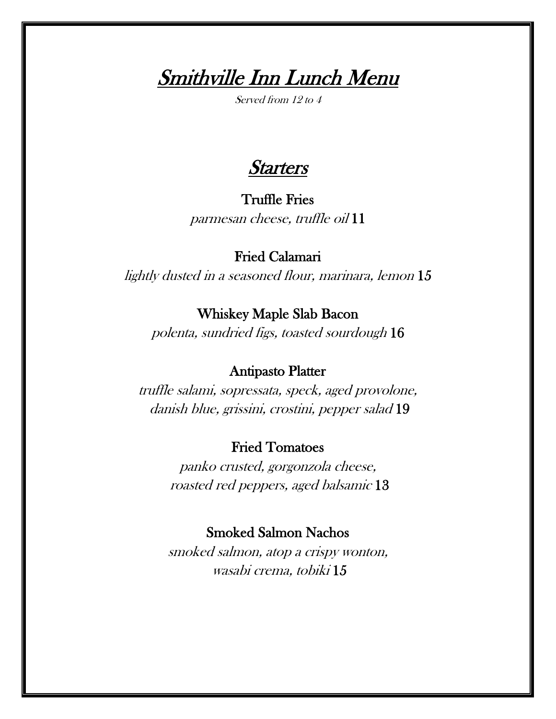**Smithville Inn Lunch Menu** 

**Starters** 

## Truffle Fries

parmesan cheese, truffle oil 11

# Fried Calamari

lightly dusted in a seasoned flour, marinara, lemon 15

### Whiskey Maple Slab Bacon

polenta, sundried figs, toasted sourdough 16

### Antipasto Platter

truffle salami, sopressata, speck, aged provolone, danish blue, grissini, crostini, pepper salad 19

# Fried Tomatoes

panko crusted, gorgonzola cheese, roasted red peppers, aged balsamic 13

### Smoked Salmon Nachos

smoked salmon, atop a crispy wonton, wasabi crema, tobiki 15